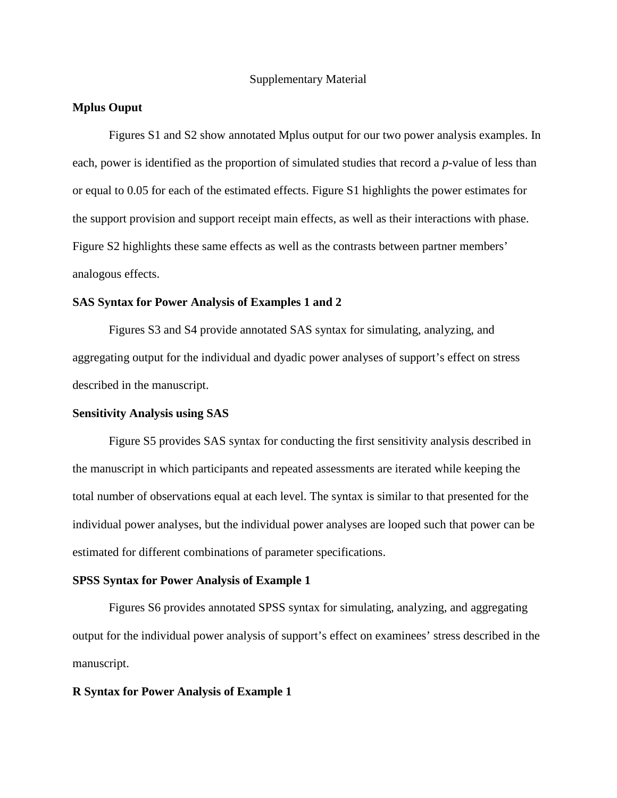#### Supplementary Material

## **Mplus Ouput**

 Figures S1 and S2 show annotated Mplus output for our two power analysis examples. In each, power is identified as the proportion of simulated studies that record a *p*-value of less than or equal to 0.05 for each of the estimated effects. Figure S1 highlights the power estimates for the support provision and support receipt main effects, as well as their interactions with phase. Figure S2 highlights these same effects as well as the contrasts between partner members' analogous effects.

#### **SAS Syntax for Power Analysis of Examples 1 and 2**

 Figures S3 and S4 provide annotated SAS syntax for simulating, analyzing, and aggregating output for the individual and dyadic power analyses of support's effect on stress described in the manuscript.

#### **Sensitivity Analysis using SAS**

 Figure S5 provides SAS syntax for conducting the first sensitivity analysis described in the manuscript in which participants and repeated assessments are iterated while keeping the total number of observations equal at each level. The syntax is similar to that presented for the individual power analyses, but the individual power analyses are looped such that power can be estimated for different combinations of parameter specifications.

#### **SPSS Syntax for Power Analysis of Example 1**

 Figures S6 provides annotated SPSS syntax for simulating, analyzing, and aggregating output for the individual power analysis of support's effect on examinees' stress described in the manuscript.

#### **R Syntax for Power Analysis of Example 1**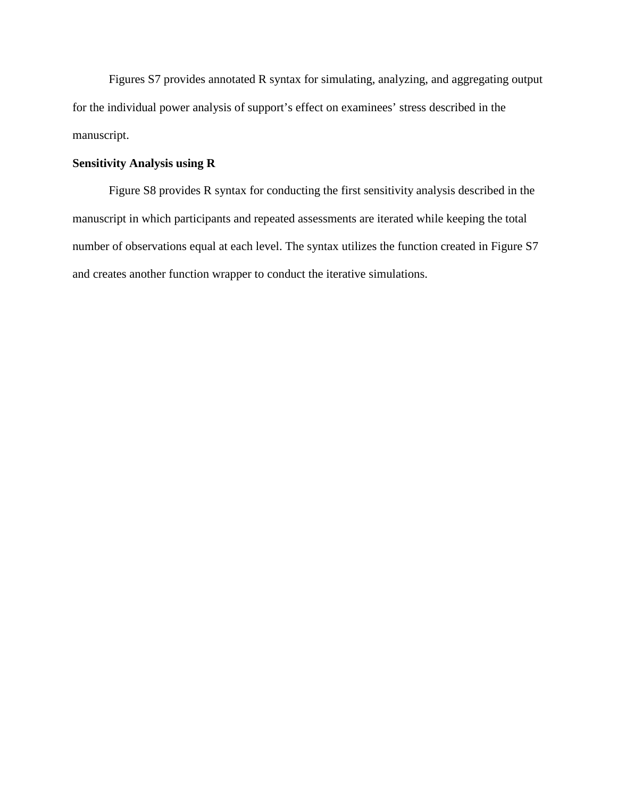Figures S7 provides annotated R syntax for simulating, analyzing, and aggregating output for the individual power analysis of support's effect on examinees' stress described in the manuscript.

## **Sensitivity Analysis using R**

Figure S8 provides R syntax for conducting the first sensitivity analysis described in the manuscript in which participants and repeated assessments are iterated while keeping the total number of observations equal at each level. The syntax utilizes the function created in Figure S7 and creates another function wrapper to conduct the iterative simulations.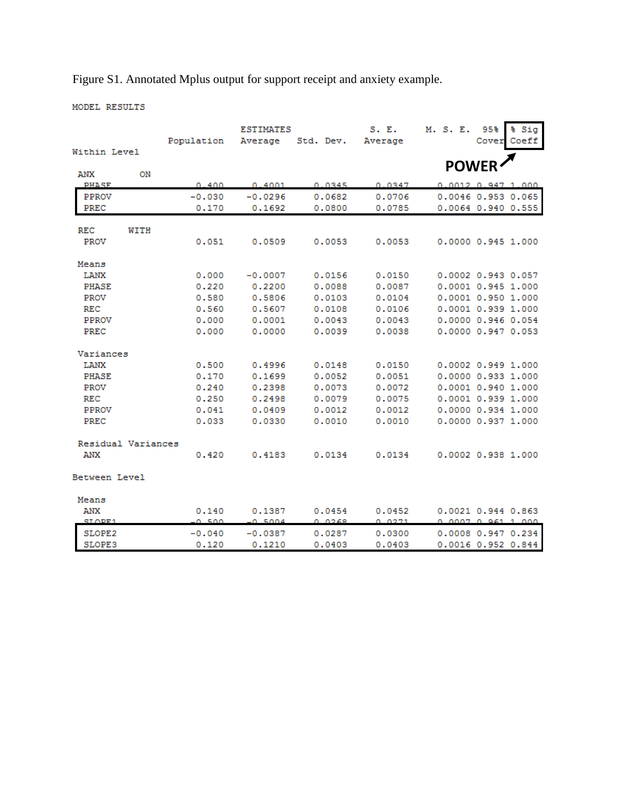Figure S1. Annotated Mplus output for support receipt and anxiety example.

MODEL RESULTS

|                    |      | Population     | <b>ESTIMATES</b><br>Average | Std. Dev.        | S. E.<br>Average | M. S. E.                                        | 95%<br>Cover | % Sig<br>Coeff |
|--------------------|------|----------------|-----------------------------|------------------|------------------|-------------------------------------------------|--------------|----------------|
| Within Level       |      |                |                             |                  |                  |                                                 |              |                |
| ANX                | ON   |                |                             |                  |                  |                                                 | <b>POWER</b> |                |
| <b>PHASE</b>       |      | 0.400          | 0.4001                      | 0.0345           | 0.0347           | 0.0012, 0.947, 1.000                            |              |                |
| <b>PPROV</b>       |      | $-0.030$       | $-0.0296$                   | 0.0682           | 0.0706           | 0.0046 0.953 0.065                              |              |                |
| <b>PREC</b>        |      | 0.170          | 0.1692                      | 0.0800           | 0.0785           | 0.0064 0.940 0.555                              |              |                |
| <b>REC</b>         | WITH |                |                             |                  |                  |                                                 |              |                |
| <b>PROV</b>        |      | 0.051          | 0.0509                      | 0.0053           | 0.0053           | 0.0000 0.945 1.000                              |              |                |
| Means              |      |                |                             |                  |                  |                                                 |              |                |
| <b>LANX</b>        |      | 0.000          | $-0.0007$                   | 0.0156           | 0.0150           | 0.0002 0.943 0.057                              |              |                |
| PHASE              |      | 0.220          | 0.2200                      | 0.0088           | 0.0087           | 0.0001 0.945 1.000                              |              |                |
| <b>PROV</b>        |      | 0.580          | 0.5806                      | 0.0103           | 0.0104           | $0.0001$ $0.950$ 1.000                          |              |                |
| <b>REC</b>         |      | 0.560          | 0.5607                      | 0.0108           | 0.0106           | 0.0001 0.939 1.000                              |              |                |
| PPROV              |      | 0.000          | 0.0001                      | 0.0043           | 0.0043           | 0.0000 0.946 0.054                              |              |                |
| PREC               |      | 0.000          | 0.0000                      | 0.0039           | 0.0038           | 0.0000 0.947 0.053                              |              |                |
| Variances          |      |                |                             |                  |                  |                                                 |              |                |
| LANX               |      | 0.500          | 0.4996                      | 0.0148           | 0.0150           | 0.0002 0.949 1.000                              |              |                |
| PHASE              |      | 0.170          | 0.1699                      | 0.0052           | 0.0051           | 0.0000 0.933 1.000                              |              |                |
| <b>PROV</b>        |      | 0.240          | 0.2398                      | 0.0073           | 0.0072           | 0.0001 0.940 1.000                              |              |                |
| <b>REC</b>         |      | 0.250          | 0.2498                      | 0.0079           | 0.0075           | 0.0001 0.939 1.000                              |              |                |
| <b>PPROV</b>       |      | 0.041          | 0.0409                      | 0.0012           | 0.0012           | 0.0000 0.934 1.000                              |              |                |
| PREC               |      | 0.033          | 0.0330                      | 0.0010           | 0.0010           | 0.0000 0.937 1.000                              |              |                |
| Residual Variances |      |                |                             |                  |                  |                                                 |              |                |
| ANX                |      | 0.420          | 0.4183                      | 0.0134           | 0.0134           | 0.0002 0.938 1.000                              |              |                |
| Between Level      |      |                |                             |                  |                  |                                                 |              |                |
| Means              |      |                |                             |                  |                  |                                                 |              |                |
| ANX<br>SLOPE1      |      | 0.140<br>0.500 | 0.1387<br>0.5004            | 0.0454<br>O OZER | 0.0452<br>0.0271 | 0.0021 0.944 0.863<br><u>A AAA7 A Q61 1 AAA</u> |              |                |
| SLOPE2             |      | $-0.040$       | $-0.0387$                   | 0.0287           | 0.0300           | 0.0008 0.947 0.234                              |              |                |
| SLOPE3             |      | 0.120          | 0.1210                      | 0.0403           | 0.0403           | 0.0016 0.952 0.844                              |              |                |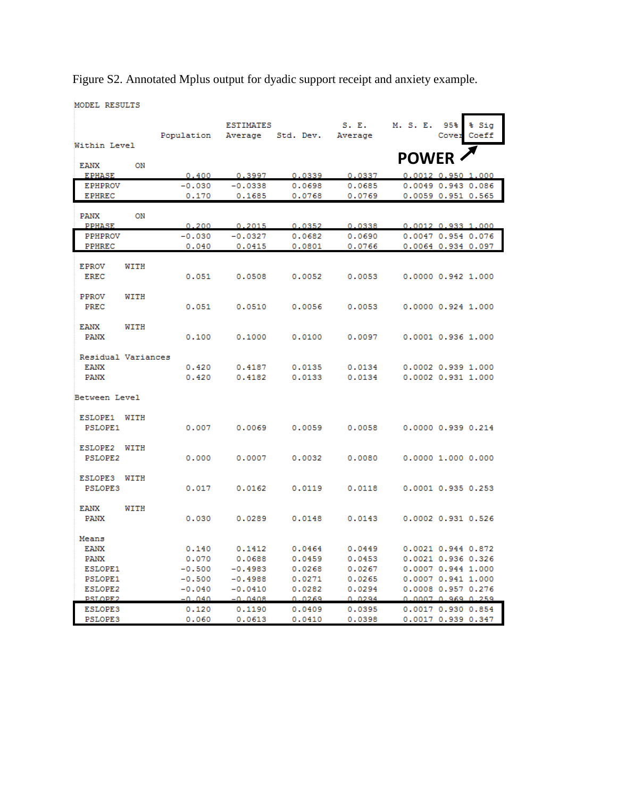Figure S2. Annotated Mplus output for dyadic support receipt and anxiety example.

MODEL RESULTS

| S. E.<br>M. S. E.<br>95%<br>% Sia<br><b>ESTIMATES</b><br>Cover Coeff<br>Population<br>Average Std. Dev.<br>Average<br>Within Level<br><b>POWER</b><br>ON<br>EANX<br><b>EPHASE</b><br>0.400<br>0.3997<br>0.0337<br>0.0339<br>$0.0012$ $0.950$ 1.000<br><b>EPHPROV</b><br>$-0.030$<br>$-0.0338$<br>0.0698<br>0.0049 0.943 0.086<br>0.0685<br>0.1685<br>0.0768<br>0.0769<br>0.0059 0.951 0.565<br><b>EPHREC</b><br>0.170<br>ON<br><b>PANX</b><br><b>PPHASE</b><br>0.200<br>0.2015<br>0.0352<br>0.0338<br>$0.0012$ $0.933$ 1.000<br><b>PPHPROV</b><br>0.0047 0.954 0.076<br>$-0.030$<br>$-0.0327$<br>0.0682<br>0.0690<br>PPHREC<br>0.040<br>0.0415<br>0.0766<br>0.0801<br>0.0064 0.934 0.097<br><b>EPROV</b><br>WITH |
|------------------------------------------------------------------------------------------------------------------------------------------------------------------------------------------------------------------------------------------------------------------------------------------------------------------------------------------------------------------------------------------------------------------------------------------------------------------------------------------------------------------------------------------------------------------------------------------------------------------------------------------------------------------------------------------------------------------|
|                                                                                                                                                                                                                                                                                                                                                                                                                                                                                                                                                                                                                                                                                                                  |
|                                                                                                                                                                                                                                                                                                                                                                                                                                                                                                                                                                                                                                                                                                                  |
|                                                                                                                                                                                                                                                                                                                                                                                                                                                                                                                                                                                                                                                                                                                  |
|                                                                                                                                                                                                                                                                                                                                                                                                                                                                                                                                                                                                                                                                                                                  |
|                                                                                                                                                                                                                                                                                                                                                                                                                                                                                                                                                                                                                                                                                                                  |
|                                                                                                                                                                                                                                                                                                                                                                                                                                                                                                                                                                                                                                                                                                                  |
|                                                                                                                                                                                                                                                                                                                                                                                                                                                                                                                                                                                                                                                                                                                  |
|                                                                                                                                                                                                                                                                                                                                                                                                                                                                                                                                                                                                                                                                                                                  |
|                                                                                                                                                                                                                                                                                                                                                                                                                                                                                                                                                                                                                                                                                                                  |
|                                                                                                                                                                                                                                                                                                                                                                                                                                                                                                                                                                                                                                                                                                                  |
|                                                                                                                                                                                                                                                                                                                                                                                                                                                                                                                                                                                                                                                                                                                  |
|                                                                                                                                                                                                                                                                                                                                                                                                                                                                                                                                                                                                                                                                                                                  |
|                                                                                                                                                                                                                                                                                                                                                                                                                                                                                                                                                                                                                                                                                                                  |
|                                                                                                                                                                                                                                                                                                                                                                                                                                                                                                                                                                                                                                                                                                                  |
| <b>EREC</b><br>0.051<br>0.0508<br>0.0053<br>0.0000 0.942 1.000<br>0.0052                                                                                                                                                                                                                                                                                                                                                                                                                                                                                                                                                                                                                                         |
| PPROV<br>WITH                                                                                                                                                                                                                                                                                                                                                                                                                                                                                                                                                                                                                                                                                                    |
| PREC<br>0.051<br>0.0510<br>0.0056<br>0.0053<br>0.000000.9241.000                                                                                                                                                                                                                                                                                                                                                                                                                                                                                                                                                                                                                                                 |
|                                                                                                                                                                                                                                                                                                                                                                                                                                                                                                                                                                                                                                                                                                                  |
| EANX<br>WITH                                                                                                                                                                                                                                                                                                                                                                                                                                                                                                                                                                                                                                                                                                     |
| PANX<br>0.100<br>0.1000<br>0.0100<br>0.0097<br>0.0001 0.936 1.000                                                                                                                                                                                                                                                                                                                                                                                                                                                                                                                                                                                                                                                |
|                                                                                                                                                                                                                                                                                                                                                                                                                                                                                                                                                                                                                                                                                                                  |
| Residual Variances                                                                                                                                                                                                                                                                                                                                                                                                                                                                                                                                                                                                                                                                                               |
| 0.420<br>0.4187<br>0.0135<br>0.0134<br>0.0002 0.939 1.000<br><b>EANX</b>                                                                                                                                                                                                                                                                                                                                                                                                                                                                                                                                                                                                                                         |
| <b>PANX</b><br>0.420<br>0.4182<br>0.0133<br>0.0134<br>$0.0002$ $0.931$ 1.000                                                                                                                                                                                                                                                                                                                                                                                                                                                                                                                                                                                                                                     |
| Between Level                                                                                                                                                                                                                                                                                                                                                                                                                                                                                                                                                                                                                                                                                                    |
|                                                                                                                                                                                                                                                                                                                                                                                                                                                                                                                                                                                                                                                                                                                  |
| ESLOPE1 WITH                                                                                                                                                                                                                                                                                                                                                                                                                                                                                                                                                                                                                                                                                                     |
| 0.0069<br>0.0000 0.939 0.214<br>PSLOPE1<br>0.007<br>0.0059<br>0.0058                                                                                                                                                                                                                                                                                                                                                                                                                                                                                                                                                                                                                                             |
|                                                                                                                                                                                                                                                                                                                                                                                                                                                                                                                                                                                                                                                                                                                  |
| ESLOPE2<br>WITH                                                                                                                                                                                                                                                                                                                                                                                                                                                                                                                                                                                                                                                                                                  |
| 0.000<br>0.0007<br>0.0032<br>0.0080<br>0.0000 1.000 0.000<br>PSLOPE2                                                                                                                                                                                                                                                                                                                                                                                                                                                                                                                                                                                                                                             |
|                                                                                                                                                                                                                                                                                                                                                                                                                                                                                                                                                                                                                                                                                                                  |
| <b>ESLOPE3</b><br>WITH                                                                                                                                                                                                                                                                                                                                                                                                                                                                                                                                                                                                                                                                                           |
| <b>PSLOPE3</b><br>0.017<br>0.0162<br>0.0119<br>0.0118<br>0.0001 0.935 0.253                                                                                                                                                                                                                                                                                                                                                                                                                                                                                                                                                                                                                                      |
| EANX<br>WITH                                                                                                                                                                                                                                                                                                                                                                                                                                                                                                                                                                                                                                                                                                     |
| <b>PANX</b><br>0.030<br>0.0289<br>0.0148<br>0.0143<br>0.0002 0.931 0.526                                                                                                                                                                                                                                                                                                                                                                                                                                                                                                                                                                                                                                         |
|                                                                                                                                                                                                                                                                                                                                                                                                                                                                                                                                                                                                                                                                                                                  |
| Means                                                                                                                                                                                                                                                                                                                                                                                                                                                                                                                                                                                                                                                                                                            |
| 0.0021 0.944 0.872<br><b>EANX</b><br>0.140<br>0.1412<br>0.0464<br>0.0449                                                                                                                                                                                                                                                                                                                                                                                                                                                                                                                                                                                                                                         |
| 0.070<br>0.0021 0.936 0.326<br><b>PANX</b><br>0.0688<br>0.0459<br>0.0453                                                                                                                                                                                                                                                                                                                                                                                                                                                                                                                                                                                                                                         |
| ESLOPE1<br>$-0.500$<br>$-0.4983$<br>0.0268<br>0.0267<br>0.0007 0.944 1.000                                                                                                                                                                                                                                                                                                                                                                                                                                                                                                                                                                                                                                       |
| 0.0007 0.941 1.000<br>PSLOPE1<br>$-0.500$<br>$-0.4988$<br>0.0271<br>0.0265                                                                                                                                                                                                                                                                                                                                                                                                                                                                                                                                                                                                                                       |
| 0.0008 0.957 0.276<br>ESLOPE2<br>$-0.040$<br>$-0.0410$<br>0.0282<br>0.0294                                                                                                                                                                                                                                                                                                                                                                                                                                                                                                                                                                                                                                       |
| PSLOPE2<br>$-0.040$<br>$-0.0408$<br>0.0269<br>0.0294<br>0.0007 0.969 0.259                                                                                                                                                                                                                                                                                                                                                                                                                                                                                                                                                                                                                                       |
| <b>ESLOPE3</b><br>0.0409<br>0.0017 0.930 0.854<br>0.120<br>0.1190<br>0.0395<br><b>PSLOPE3</b><br>0.0017 0.939 0.347<br>0.060<br>0.0613<br>0.0410<br>0.0398                                                                                                                                                                                                                                                                                                                                                                                                                                                                                                                                                       |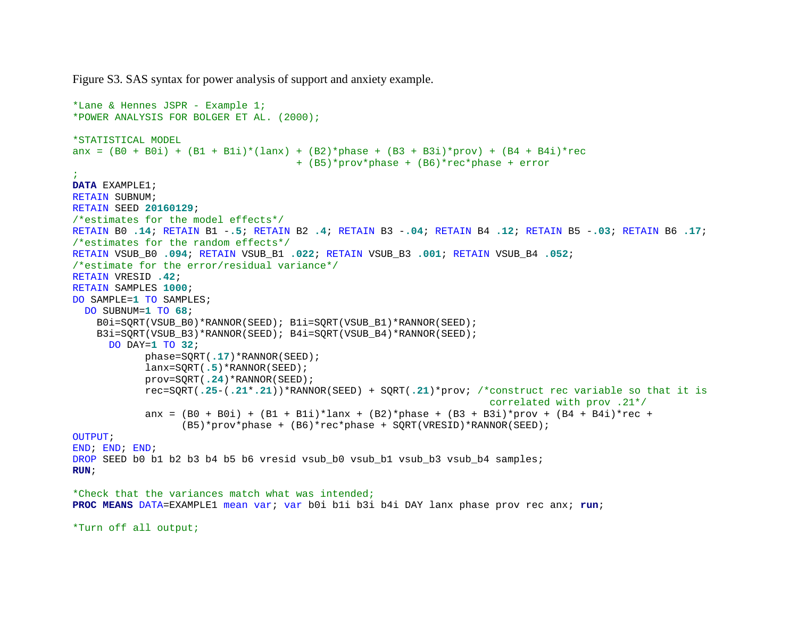Figure S3. SAS syntax for power analysis of support and anxiety example.

```
*Lane & Hennes JSPR - Example 1;
*POWER ANALYSIS FOR BOLGER ET AL. (2000);
*STATISTICAL MODEL
anx = (B0 + B0i) + (B1 + B1i) * (lanx) + (B2) * phase + (B3 + B3i) * prov) + (B4 + B4i) * rec + (B5)*prov*phase + (B6)*rec*phase + error
;
DATA EXAMPLE1;
RETAIN SUBNUM; 
RETAIN SEED 20160129; 
/*estimates for the model effects*/
RETAIN B0 .14; RETAIN B1 -.5; RETAIN B2 .4; RETAIN B3 -.04; RETAIN B4 .12; RETAIN B5 -.03; RETAIN B6 .17; 
/*estimates for the random effects*/
RETAIN VSUB_B0 .094; RETAIN VSUB_B1 .022; RETAIN VSUB_B3 .001; RETAIN VSUB_B4 .052; 
/*estimate for the error/residual variance*/
RETAIN VRESID .42; 
RETAIN SAMPLES 1000; 
DO SAMPLE=1 TO SAMPLES;
  DO SUBNUM=1 TO 68; 
    B0i=SQRT(VSUB_B0)*RANNOR(SEED); B1i=SQRT(VSUB_B1)*RANNOR(SEED);
    B3i=SQRT(VSUB_B3)*RANNOR(SEED); B4i=SQRT(VSUB_B4)*RANNOR(SEED);
      DO DAY=1 TO 32; 
             phase=SQRT(.17)*RANNOR(SEED); 
             lanx=SQRT(.5)*RANNOR(SEED);
             prov=SQRT(.24)*RANNOR(SEED);
            rec=SQRT(.25-(.21*.21))*RANNOR(SEED) + SQRT(.21)*prov; /*construct rec variable so that it is 
                                                                       correlated with prov .21*/
            anx = (B0 + B0i) + (B1 + B1i)*lanx + (B2)*phase + (B3 + B3i)*prov + (B4 + B4i)*rec + (B5)*prov*phase + (B6)*rec*phase + SQRT(VRESID)*RANNOR(SEED);
OUTPUT; 
END; END; END; 
DROP SEED b0 b1 b2 b3 b4 b5 b6 vresid vsub b0 vsub b1 vsub b3 vsub b4 samples;
RUN; 
*Check that the variances match what was intended;
PROC MEANS DATA=EXAMPLE1 mean var; var b0i b1i b3i b4i DAY lanx phase prov rec anx; run; 
*Turn off all output;
```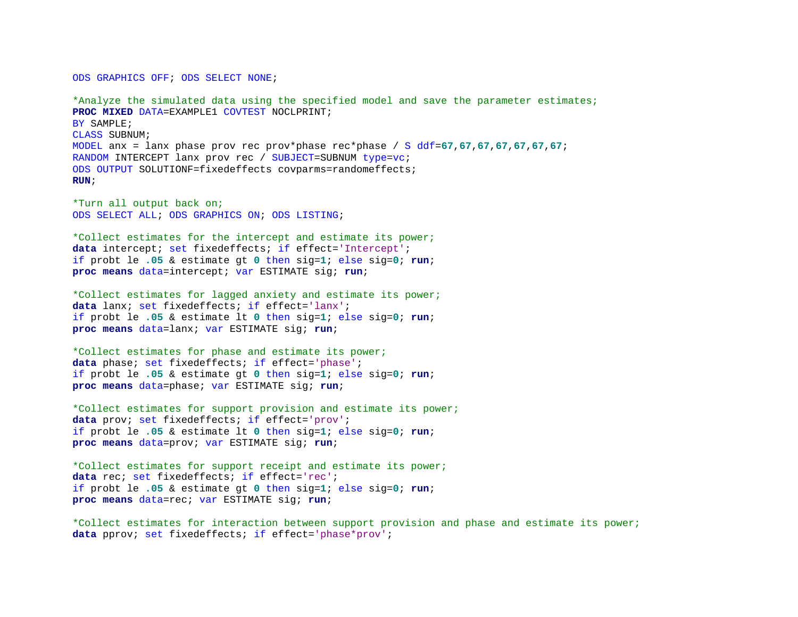ODS GRAPHICS OFF; ODS SELECT NONE;

\*Analyze the simulated data using the specified model and save the parameter estimates; **PROC MIXED** DATA=EXAMPLE1 COVTEST NOCLPRINT; BY SAMPLE; CLASS SUBNUM; MODEL anx = lanx phase prov rec prov\*phase rec\*phase / S ddf=**67**,**67**,**67**,**67**,**67**,**67**,**67**; RANDOM INTERCEPT lanx prov rec / SUBJECT=SUBNUM type=vc; ODS OUTPUT SOLUTIONF=fixedeffects covparms=randomeffects; **RUN**;

\*Turn all output back on; ODS SELECT ALL; ODS GRAPHICS ON; ODS LISTING;

\*Collect estimates for the intercept and estimate its power; **data** intercept; set fixedeffects; if effect='Intercept'; if probt le **.05** & estimate gt **0** then sig=**1**; else sig=**0**; **run**; **proc means** data=intercept; var ESTIMATE sig; **run**;

\*Collect estimates for lagged anxiety and estimate its power; **data** lanx; set fixedeffects; if effect='lanx'; if probt le **.05** & estimate lt **0** then sig=**1**; else sig=**0**; **run**; **proc means** data=lanx; var ESTIMATE sig; **run**;

\*Collect estimates for phase and estimate its power; **data** phase; set fixedeffects; if effect='phase'; if probt le **.05** & estimate gt **0** then sig=**1**; else sig=**0**; **run**; **proc means** data=phase; var ESTIMATE sig; **run**;

\*Collect estimates for support provision and estimate its power; **data** prov; set fixedeffects; if effect='prov'; if probt le **.05** & estimate lt **0** then sig=**1**; else sig=**0**; **run**; **proc means** data=prov; var ESTIMATE sig; **run**;

\*Collect estimates for support receipt and estimate its power; **data** rec; set fixedeffects; if effect='rec'; if probt le **.05** & estimate gt **0** then sig=**1**; else sig=**0**; **run**; **proc means** data=rec; var ESTIMATE sig; **run**;

\*Collect estimates for interaction between support provision and phase and estimate its power; **data** pprov; set fixedeffects; if effect='phase\*prov';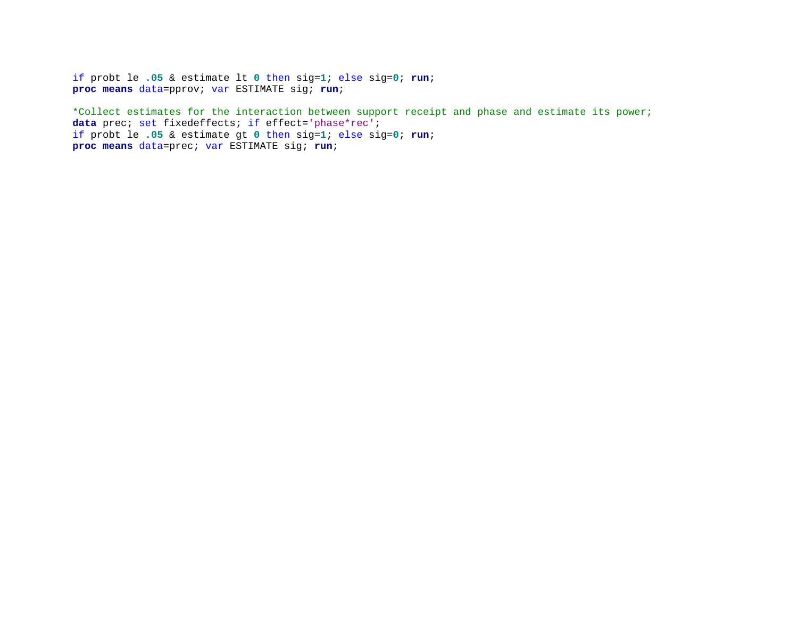if probt le **.05** & estimate lt **0** then sig=**1**; else sig=**0**; **run**; **proc means** data=pprov; var ESTIMATE sig; **run**;

\*Collect estimates for the interaction between support receipt and phase and estimate its power; data prec; set fixedeffects; if effect='phase\*rec'; if probt le **.05** & estimate gt **0** then sig=**1**; else sig=**0**; **run**; **proc means** data=prec; var ESTIMATE sig; **run**;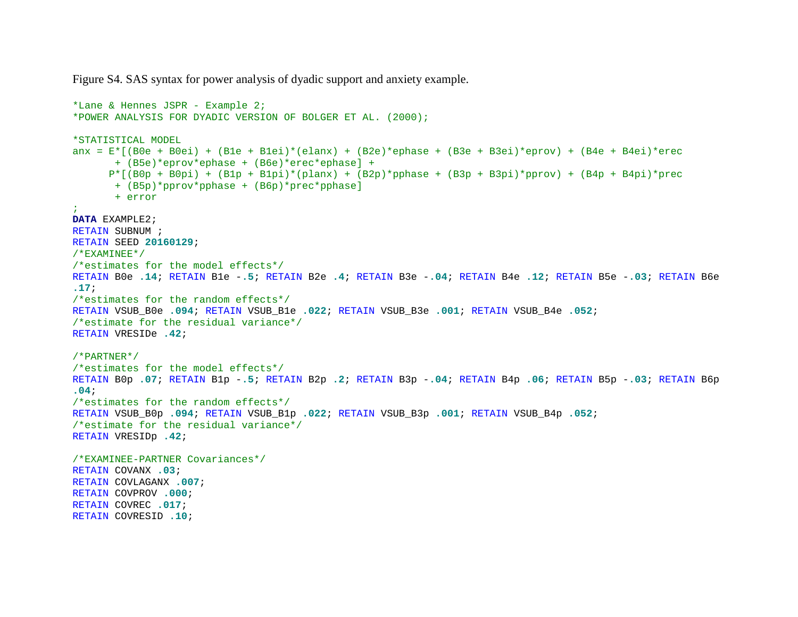Figure S4. SAS syntax for power analysis of dyadic support and anxiety example.

```
*Lane & Hennes JSPR - Example 2;
*POWER ANALYSIS FOR DYADIC VERSION OF BOLGER ET AL. (2000);
*STATISTICAL MODEL
anx = E^*[(B0e + B0ei) + (B1e + B1ei)*(elanx) + (B2e)*ephase + (B3e + B3ei)*eprov) + (B4e + B4ei)*erec
      + (B5e)*eprov*ephase + (B6e)*erec*ephase] + 
      P^*[(B0p + B0pi) + (B1p + B1pi)*(planx) + (B2p)*pphase + (B3p + B3pi)*pprov) + (B4p + B4pi)*prec
      + (B5p)*pprov*pphase + (B6p)*prec*pphase] 
      + error
;
DATA EXAMPLE2;
RETAIN SUBNUM ;
RETAIN SEED 20160129; 
/*EXAMINEE*/
/*estimates for the model effects*/
RETAIN B0e .14; RETAIN B1e -.5; RETAIN B2e .4; RETAIN B3e -.04; RETAIN B4e .12; RETAIN B5e -.03; RETAIN B6e 
.17; 
/*estimates for the random effects*/
RETAIN VSUB_B0e .094; RETAIN VSUB_B1e .022; RETAIN VSUB_B3e .001; RETAIN VSUB_B4e .052; 
/*estimate for the residual variance*/
RETAIN VRESIDe .42; 
/*PARTNER*/
/*estimates for the model effects*/
RETAIN B0p .07; RETAIN B1p -.5; RETAIN B2p .2; RETAIN B3p -.04; RETAIN B4p .06; RETAIN B5p -.03; RETAIN B6p 
.04; 
/*estimates for the random effects*/
RETAIN VSUB_B0p .094; RETAIN VSUB_B1p .022; RETAIN VSUB_B3p .001; RETAIN VSUB_B4p .052; 
/*estimate for the residual variance*/
RETAIN VRESIDp .42; 
/*EXAMINEE-PARTNER Covariances*/
RETAIN COVANX .03; 
RETAIN COVLAGANX .007; 
RETAIN COVPROV .000; 
RETAIN COVREC .017; 
RETAIN COVRESID .10;
```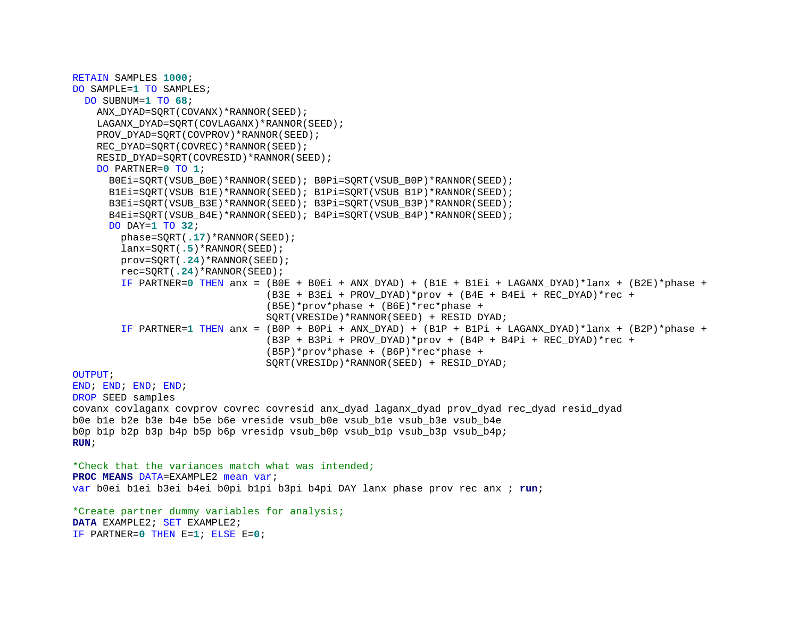```
RETAIN SAMPLES 1000; 
DO SAMPLE=1 TO SAMPLES;
  DO SUBNUM=1 TO 68; 
   ANX_DYAD=SORT(COVANX)*RANNOR(SEED);
   LAGANX_DYAD=SQRT(COVLAGANX)*RANNOR(SEED);
   PROV_DYAD=SORT(COVPROV)*RANNOR(SEED);
   REC_DYAD=SQRT(COVREC)*RANNOR(SEED);
   RESID_DYAD=SQRT(COVRESID)*RANNOR(SEED);
    DO PARTNER=0 TO 1; 
       B0Ei=SQRT(VSUB_B0E)*RANNOR(SEED); B0Pi=SQRT(VSUB_B0P)*RANNOR(SEED);
     B1Ei=SORT(VSUB_B1E)*RANNOR(SEED); B1Pi=SORT(VSUB_B1P)*RANNOR(SEED);
     B3Ei=SORT(VSUB_B3E)*RANNOR(SEED); B3Pi=SORT(VSUB_B3P)*RANNOR(SEED);
      B4Ei=SORT(VSUB_B4E)*RANNOR(SEED); B4Pi=SORT(VSUB_B4P)*RANNOR(SEED);
     DO DAY=1 TO 32; 
        phase=SQRT(.17)*RANNOR(SEED); 
        lanx=SQRT(.5)*RANNOR(SEED);
        prov=SQRT(.24)*RANNOR(SEED);
        rec=SQRT(.24)*RANNOR(SEED);
         IF PARTNER=0 THEN anx = (B0E + B0Ei + ANX_DYAD) + (B1E + B1Ei + LAGANX_DYAD)*lanx + (B2E)*phase + 
                                (B3E + B3Ei + PROV DYAD)*prov + (B4E + B4Ei + REC DYAD)*rec +(B5E)*prov*phase + (B6E)*rec*phase + 
                                SQRT(VRESIDe)*RANNOR(SEED) + RESID_DYAD;
         IF PARTNER=1 THEN anx = (B0P + B0Pi + ANX_DYAD) + (B1P + B1Pi + LAGANX_DYAD)*lanx + (B2P)*phase + 
                                (B3P + B3Pi + PROV DYAD)*prov + (B4P + B4Pi + REC DYAD)*rec + (B5P)*prov*phase + (B6P)*rec*phase + 
                                 SQRT(VRESIDp)*RANNOR(SEED) + RESID_DYAD;
OUTPUT; 
END; END; END; END; 
DROP SEED samples 
covanx covlaganx covprov covrec covresid anx_dyad laganx_dyad prov_dyad rec_dyad resid_dyad
b0e b1e b2e b3e b4e b5e b6e vreside vsub_b0e vsub_b1e vsub_b3e vsub_b4e
b0p b1p b2p b3p b4p b5p b6p vresidp vsub_b0p vsub_b1p vsub_b3p vsub_b4p;
RUN; 
*Check that the variances match what was intended;
PROC MEANS DATA=EXAMPLE2 mean var; 
var b0ei b1ei b3ei b4ei b0pi b1pi b3pi b4pi DAY lanx phase prov rec anx ; run; 
*Create partner dummy variables for analysis;
DATA EXAMPLE2; SET EXAMPLE2;
IF PARTNER=0 THEN E=1; ELSE E=0;
```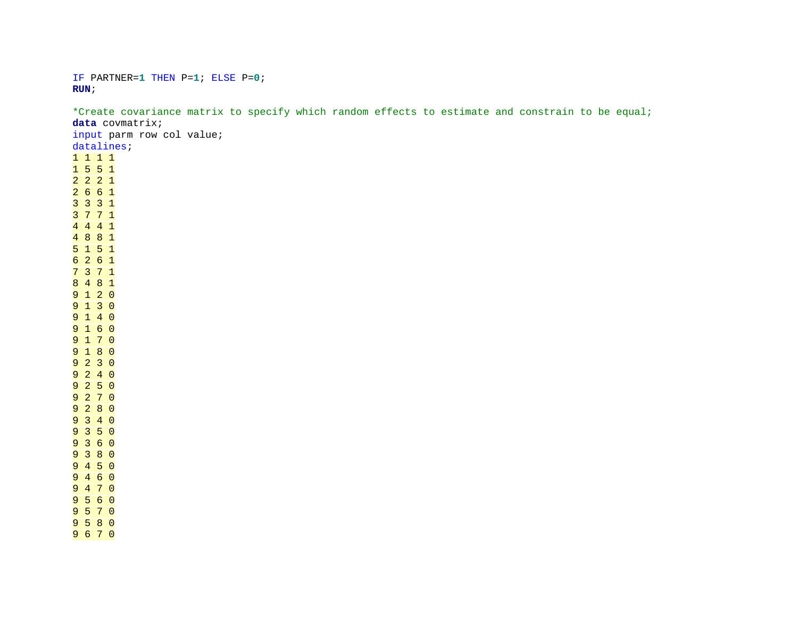IF PARTNER=**1** THEN P=**1**; ELSE P=**0**; **RUN**;

\*Create covariance matrix to specify which random effects to estimate and constrain to be equal; **data** covmatrix; input parm row col value; datalines; 1 1 1 1 1 5 5 1 2 2 2 1 2 6 6 1 3 3 3 1 3 7 7 1 4 4 4 1 4 8 8 1 5 1 5 1 6 2 6 1 7 3 7 1 8 4 8 1 9 1 2 0 9 1 3 0 9 1 4 0 9 1 6 0 9 1 7 0 9 1 8 0 9 2 3 0 9 2 4 0 9 2 5 0 9 2 7 0 9 2 8 0 9 3 4 0 9 3 5 0 9 3 6 0 9 3 8 0 9 4 5 0 9 4 6 0 9 4 7 0 9 5 6 0 9 5 7 0 9 5 8 0 9 6 7 0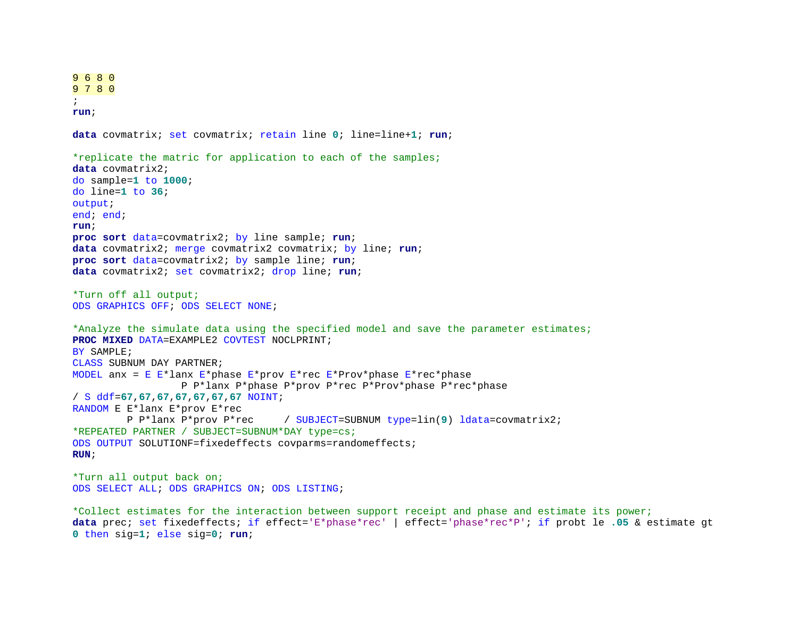```
9 6 8 0
9 7 8 0
; 
run; 
data covmatrix; set covmatrix; retain line 0; line=line+1; run; 
*replicate the matric for application to each of the samples;
data covmatrix2;
do sample=1 to 1000; 
do line=1 to 36; 
output; 
end; end;
run; 
proc sort data=covmatrix2; by line sample; run; 
data covmatrix2; merge covmatrix2 covmatrix; by line; run; 
proc sort data=covmatrix2; by sample line; run; 
data covmatrix2; set covmatrix2; drop line; run; 
*Turn off all output;
ODS GRAPHICS OFF; ODS SELECT NONE; 
*Analyze the simulate data using the specified model and save the parameter estimates;
PROC MIXED DATA=EXAMPLE2 COVTEST NOCLPRINT;
BY SAMPLE;
CLASS SUBNUM DAY PARTNER;
MODEL anx = E E*lanx E*phase E*prov E*rec E*Prov*phase E*rec*phase
                    P P*lanx P*phase P*prov P*rec P*Prov*phase P*rec*phase 
/ S ddf=67,67,67,67,67,67,67 NOINT; 
RANDOM E E*lanx E*prov E*rec<br>P P*lanx P*prov P*rec
                                     P P*lanx P*prov P*rec / SUBJECT=SUBNUM type=lin(9) ldata=covmatrix2;
*REPEATED PARTNER / SUBJECT=SUBNUM*DAY type=cs;
ODS OUTPUT SOLUTIONF=fixedeffects covparms=randomeffects;
RUN; 
*Turn all output back on;
ODS SELECT ALL; ODS GRAPHICS ON; ODS LISTING; 
*Collect estimates for the interaction between support receipt and phase and estimate its power;
data prec; set fixedeffects; if effect='E*phase*rec' | effect='phase*rec*P'; if probt le .05 & estimate gt
```

```
0 then sig=1; else sig=0; run;
```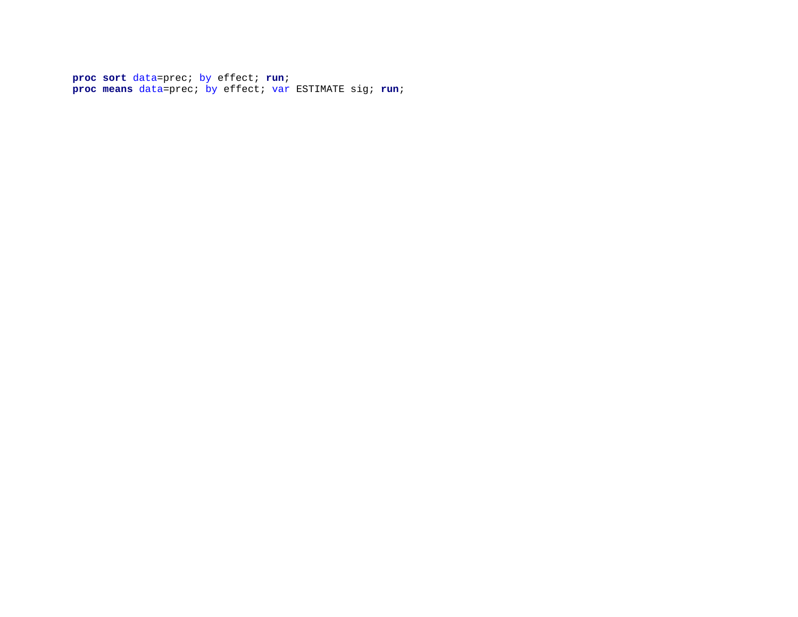**proc sort** data=prec; by effect; **run**; **proc means** data=prec; by effect; var ESTIMATE sig; **run**;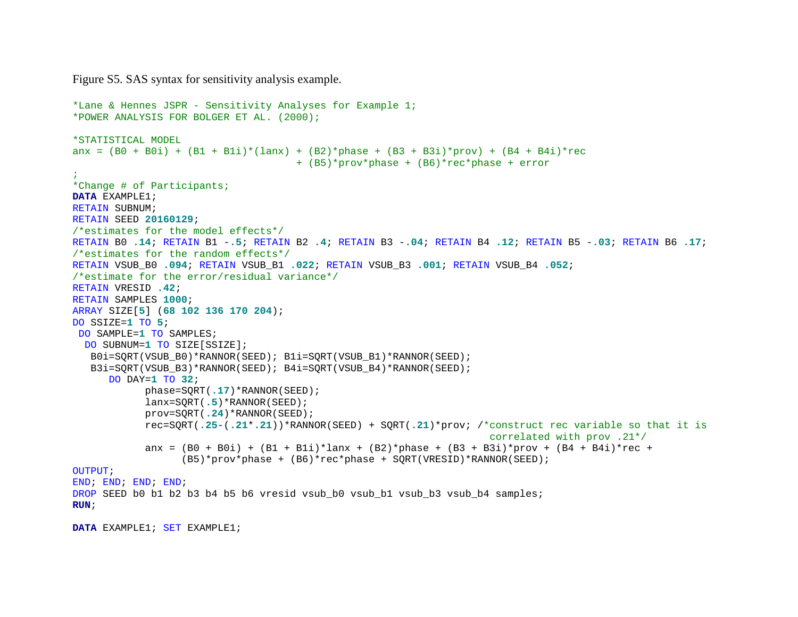Figure S5. SAS syntax for sensitivity analysis example.

```
*Lane & Hennes JSPR - Sensitivity Analyses for Example 1;
*POWER ANALYSIS FOR BOLGER ET AL. (2000);
*STATISTICAL MODEL
anx = (B0 + B0i) + (B1 + B1i) * (lanx) + (B2) * phase + (B3 + B3i) * prov) + (B4 + B4i) * rec + (B5)*prov*phase + (B6)*rec*phase + error
;
*Change # of Participants;
DATA EXAMPLE1;
RETAIN SUBNUM; 
RETAIN SEED 20160129; 
/*estimates for the model effects*/
RETAIN B0 .14; RETAIN B1 -.5; RETAIN B2 .4; RETAIN B3 -.04; RETAIN B4 .12; RETAIN B5 -.03; RETAIN B6 .17; 
/*estimates for the random effects*/
RETAIN VSUB_B0 .094; RETAIN VSUB_B1 .022; RETAIN VSUB_B3 .001; RETAIN VSUB_B4 .052; 
/*estimate for the error/residual variance*/
RETAIN VRESID .42; 
RETAIN SAMPLES 1000; 
ARRAY SIZE[5] (68 102 136 170 204);
DO SSIZE=1 TO 5; 
DO SAMPLE=1 TO SAMPLES;
  DO SUBNUM=1 TO SIZE[SSIZE];
  B0i=SORT(VSUB B0)*RANNOR(SEED); B1i=SORT(VSUB B1)*RANNOR(SEED);
    B3i=SQRT(VSUB_B3)*RANNOR(SEED); B4i=SQRT(VSUB_B4)*RANNOR(SEED);
      DO DAY=1 TO 32; 
             phase=SQRT(.17)*RANNOR(SEED);
             lanx=SQRT(.5)*RANNOR(SEED);
             prov=SQRT(.24)*RANNOR(SEED);
            rec=SQRT(.25-(.21*.21))*RANNOR(SEED) + SQRT(.21)*prov; /*construct rec variable so that it is 
                                                                       correlated with prov .21*/
            anx = (B0 + B0i) + (B1 + B1i)*lanx + (B2)*phase + (B3 + B3i)*prov + (B4 + B4i)*rec +
                   (B5)*prov*phase + (B6)*rec*phase + SQRT(VRESID)*RANNOR(SEED);
OUTPUT; 
END; END; END; END; 
DROP SEED b0 b1 b2 b3 b4 b5 b6 vresid vsub b0 vsub b1 vsub b3 vsub b4 samples;
RUN;
```
**DATA** EXAMPLE1; SET EXAMPLE1;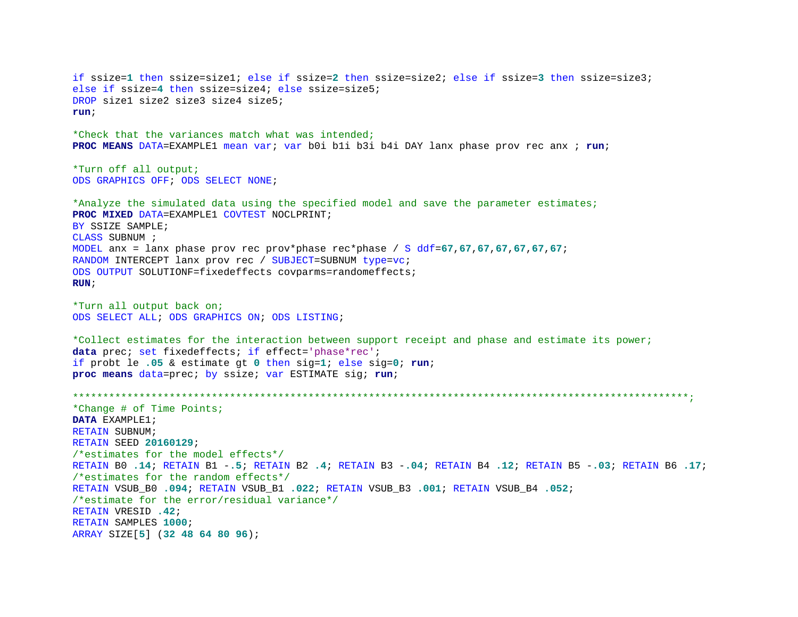```
if ssize=1 then ssize=size1; else if ssize=2 then ssize=size2; else if ssize=3 then ssize=size3;
else if ssize=4 then ssize=size4; else ssize=size5;
DROP size1 size2 size3 size4 size5;
run; 
*Check that the variances match what was intended;
PROC MEANS DATA=EXAMPLE1 mean var; var b0i b1i b3i b4i DAY lanx phase prov rec anx ; run; 
*Turn off all output;
ODS GRAPHICS OFF; ODS SELECT NONE; 
*Analyze the simulated data using the specified model and save the parameter estimates;
PROC MIXED DATA=EXAMPLE1 COVTEST NOCLPRINT;
BY SSIZE SAMPLE;
CLASS SUBNUM ;
MODEL anx = lanx phase prov rec prov*phase rec*phase / S ddf=67,67,67,67,67,67,67; 
RANDOM INTERCEPT lanx prov rec / SUBJECT=SUBNUM type=vc; 
ODS OUTPUT SOLUTIONF=fixedeffects covparms=randomeffects;
RUN; 
*Turn all output back on;
ODS SELECT ALL; ODS GRAPHICS ON; ODS LISTING; 
*Collect estimates for the interaction between support receipt and phase and estimate its power;
data prec; set fixedeffects; if effect='phase*rec'; 
if probt le .05 & estimate gt 0 then sig=1; else sig=0; run; 
proc means data=prec; by ssize; var ESTIMATE sig; run; 
******************************************************************************************************;
*Change # of Time Points;
DATA EXAMPLE1;
RETAIN SUBNUM; 
RETAIN SEED 20160129; 
/*estimates for the model effects*/
RETAIN B0 .14; RETAIN B1 -.5; RETAIN B2 .4; RETAIN B3 -.04; RETAIN B4 .12; RETAIN B5 -.03; RETAIN B6 .17; 
/*estimates for the random effects*/
RETAIN VSUB_B0 .094; RETAIN VSUB_B1 .022; RETAIN VSUB_B3 .001; RETAIN VSUB_B4 .052; 
/*estimate for the error/residual variance*/
RETAIN VRESID .42; 
RETAIN SAMPLES 1000; 
ARRAY SIZE[5] (32 48 64 80 96);
```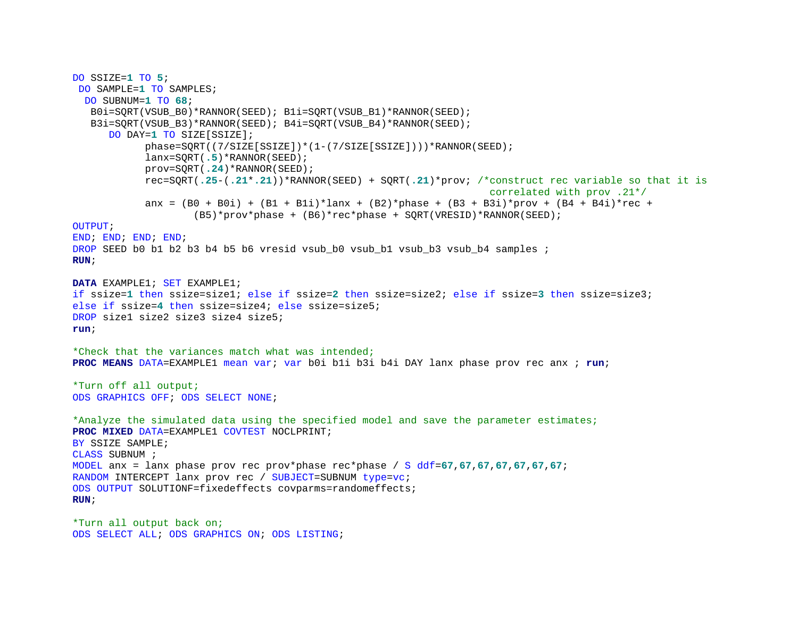```
DO SSIZE=1 TO 5; 
DO SAMPLE=1 TO SAMPLES;
  DO SUBNUM=1 TO 68; 
   B0i=SQRT(VSUB_B0)*RANNOR(SEED); B1i=SQRT(VSUB_B1)*RANNOR(SEED);
  B3i=SQRT(VSUB_B3)*RANNOR(SEED); B4i=SQRT(VSUB_B4)*RANNOR(SEED);
     DO DAY=1 TO SIZE[SSIZE];
             phase=SQRT((7/SIZE[SSIZE])*(1-(7/SIZE[SSIZE])))*RANNOR(SEED);
             lanx=SQRT(.5)*RANNOR(SEED);
             prov=SQRT(.24)*RANNOR(SEED);
            rec=SQRT(.25-(.21*.21))*RANNOR(SEED) + SQRT(.21)*prov; /*construct rec variable so that it is 
                                                                      correlated with prov .21*/
            anx = (B0 + B0i) + (B1 + B1i)*lanx + (B2)*phase + (B3 + B3i)*prov + (B4 + B4i)*rec + (B5)*prov*phase + (B6)*rec*phase + SQRT(VRESID)*RANNOR(SEED);
OUTPUT; 
END; END; END; END; 
DROP SEED b0 b1 b2 b3 b4 b5 b6 vresid vsub b0 vsub b1 vsub b3 vsub b4 samples ;
RUN; 
DATA EXAMPLE1; SET EXAMPLE1; 
if ssize=1 then ssize=size1; else if ssize=2 then ssize=size2; else if ssize=3 then ssize=size3;
else if ssize=4 then ssize=size4; else ssize=size5;
DROP size1 size2 size3 size4 size5;
run; 
*Check that the variances match what was intended;
PROC MEANS DATA=EXAMPLE1 mean var; var b0i b1i b3i b4i DAY lanx phase prov rec anx ; run; 
*Turn off all output;
ODS GRAPHICS OFF; ODS SELECT NONE; 
*Analyze the simulated data using the specified model and save the parameter estimates;
PROC MIXED DATA=EXAMPLE1 COVTEST NOCLPRINT;
BY SSIZE SAMPLE;
CLASS SUBNUM ;
MODEL anx = lanx phase prov rec prov*phase rec*phase / S ddf=67,67,67,67,67,67,67; 
RANDOM INTERCEPT lanx prov rec / SUBJECT=SUBNUM type=vc; 
ODS OUTPUT SOLUTIONF=fixedeffects covparms=randomeffects;
RUN; 
*Turn all output back on;
```
ODS SELECT ALL; ODS GRAPHICS ON; ODS LISTING;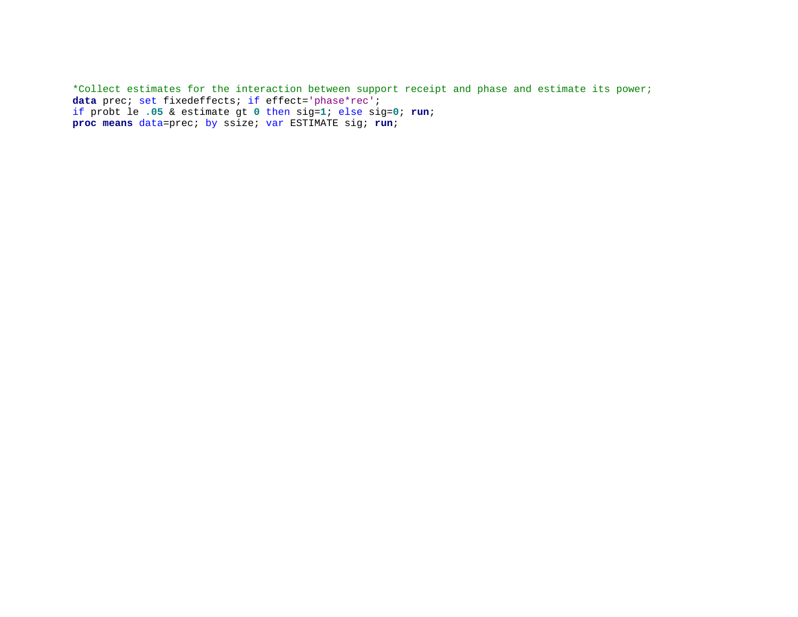\*Collect estimates for the interaction between support receipt and phase and estimate its power; data prec; set fixedeffects; if effect='phase\*rec'; if probt le **.05** & estimate gt **0** then sig=**1**; else sig=**0**; **run**; **proc means** data=prec; by ssize; var ESTIMATE sig; **run**;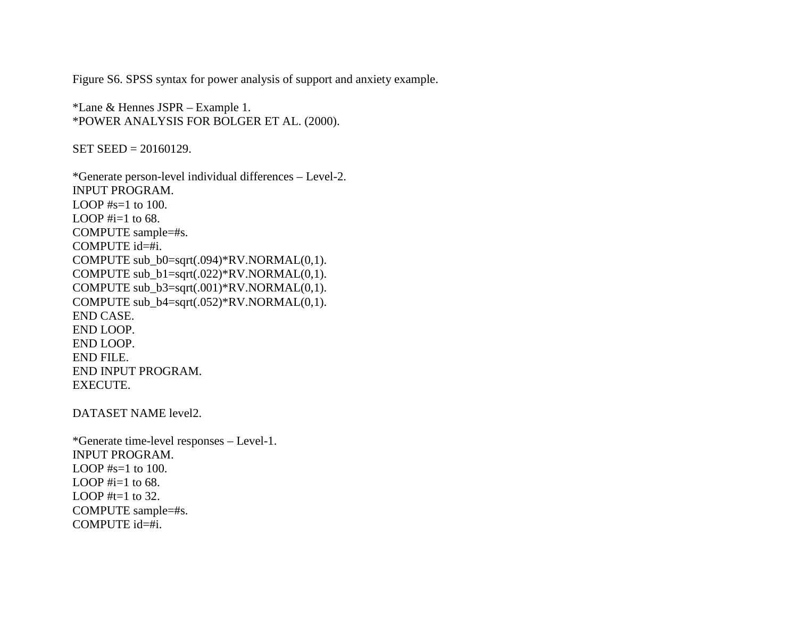Figure S6. SPSS syntax for power analysis of support and anxiety example.

\*Lane & Hennes JSPR – Example 1. \*POWER ANALYSIS FOR BOLGER ET AL. (2000).

 $SET$  SEED = 20160129.

\*Generate person-level individual differences – Level-2. INPUT PROGRAM. LOOP  $#s=1$  to 100. LOOP  $\#i=1$  to 68. COMPUTE sample=#s. COMPUTE id=#i. COMPUTE sub\_b0=sqrt(.094)\*RV.NORMAL(0,1). COMPUTE sub\_b1=sqrt(.022)\*RV.NORMAL(0,1). COMPUTE sub\_b3=sqrt(.001)\*RV.NORMAL(0,1). COMPUTE sub\_b4=sqrt(.052)\*RV.NORMAL(0,1). END CASE. END LOOP. END LOOP. END FILE. END INPUT PROGRAM. EXECUTE.

DATASET NAME level2.

\*Generate time-level responses – Level-1. INPUT PROGRAM. LOOP  $#s=1$  to 100. LOOP  $\#i=1$  to 68. LOOP  $#t=1$  to 32. COMPUTE sample=#s. COMPUTE id=#i.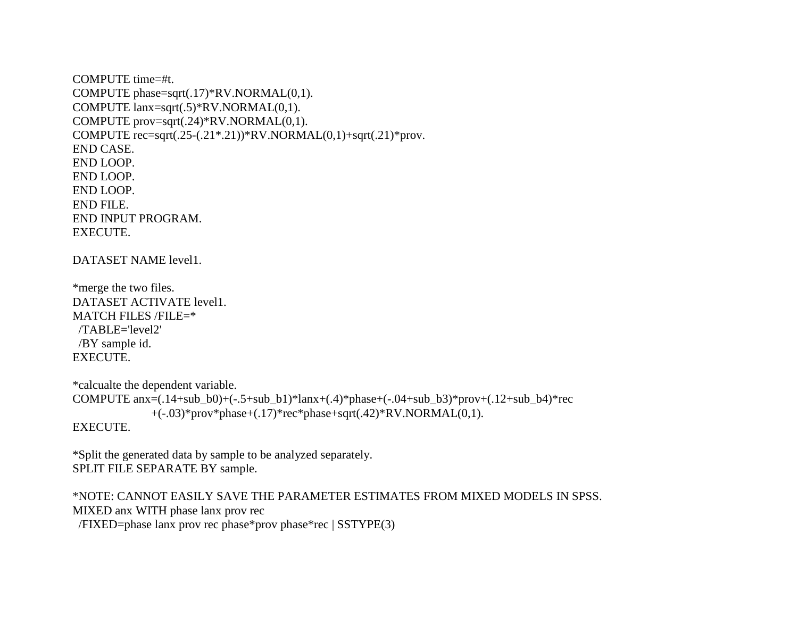COMPUTE time=#t. COMPUTE phase=sqrt(.17)\*RV.NORMAL(0,1). COMPUTE lanx=sqrt(.5)\*RV.NORMAL(0,1). COMPUTE prov=sqrt(.24)\*RV.NORMAL(0,1). COMPUTE  $rec = sqrt(.25-(.21*.21))*RV.NORMAL(0,1)+sqrt(.21)*prox.$ END CASE. END LOOP. END LOOP. END LOOP. END FILE. END INPUT PROGRAM. EXECUTE.

DATASET NAME level1.

\*merge the two files. DATASET ACTIVATE level1. MATCH FILES /FILE=\* /TABLE='level2' /BY sample id. EXECUTE.

\*calcualte the dependent variable. COMPUTE  $anx=(.14+sub_bb0)+(-.5+sub_bb1)*lanx+(.4)*phase+(-.04+sub_bb3)*prov+(.12+sub_bb4)*rec$  $+(-.03)$ \*prov\*phase+ $(.17)$ \*rec\*phase+sqrt $(.42)$ \*RV.NORMAL $(0,1)$ . EXECUTE.

\*Split the generated data by sample to be analyzed separately. SPLIT FILE SEPARATE BY sample.

\*NOTE: CANNOT EASILY SAVE THE PARAMETER ESTIMATES FROM MIXED MODELS IN SPSS. MIXED anx WITH phase lanx prov rec /FIXED=phase lanx prov rec phase\*prov phase\*rec | SSTYPE(3)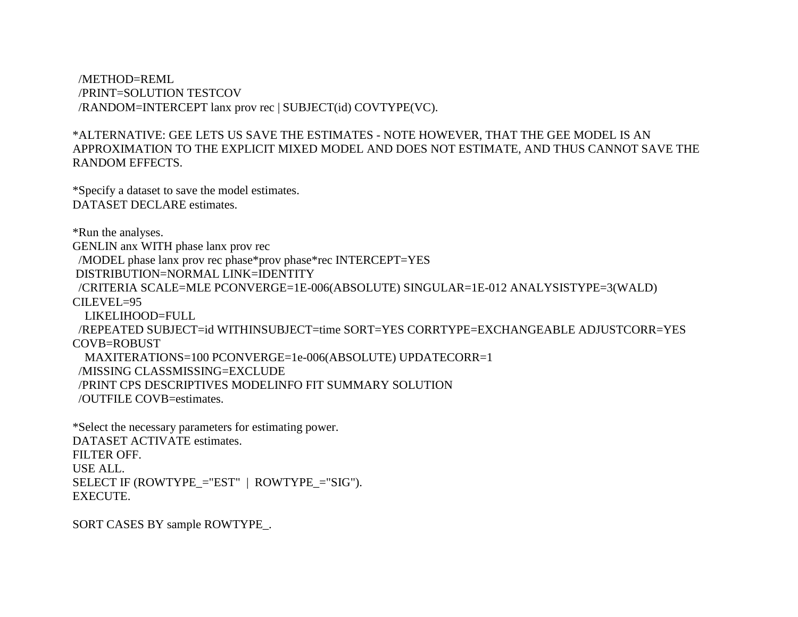/METHOD=REML /PRINT=SOLUTION TESTCOV /RANDOM=INTERCEPT lanx prov rec | SUBJECT(id) COVTYPE(VC).

# \*ALTERNATIVE: GEE LETS US SAVE THE ESTIMATES - NOTE HOWEVER, THAT THE GEE MODEL IS AN APPROXIMATION TO THE EXPLICIT MIXED MODEL AND DOES NOT ESTIMATE, AND THUS CANNOT SAVE THE RANDOM EFFECTS.

\*Specify a dataset to save the model estimates. DATASET DECLARE estimates.

\*Run the analyses.

GENLIN anx WITH phase lanx prov rec

/MODEL phase lanx prov rec phase\*prov phase\*rec INTERCEPT=YES

DISTRIBUTION=NORMAL LINK=IDENTITY

 /CRITERIA SCALE=MLE PCONVERGE=1E-006(ABSOLUTE) SINGULAR=1E-012 ANALYSISTYPE=3(WALD)  $CII$  EVEL=95

LIKELIHOOD=FULL

 /REPEATED SUBJECT=id WITHINSUBJECT=time SORT=YES CORRTYPE=EXCHANGEABLE ADJUSTCORR=YES COVB=ROBUST

MAXITERATIONS=100 PCONVERGE=1e-006(ABSOLUTE) UPDATECORR=1

/MISSING CLASSMISSING=EXCLUDE

/PRINT CPS DESCRIPTIVES MODELINFO FIT SUMMARY SOLUTION

/OUTFILE COVB=estimates.

\*Select the necessary parameters for estimating power. DATASET ACTIVATE estimates. FILTER OFF. USE ALL. SELECT IF (ROWTYPE\_="EST" | ROWTYPE\_="SIG"). EXECUTE.

SORT CASES BY sample ROWTYPE\_.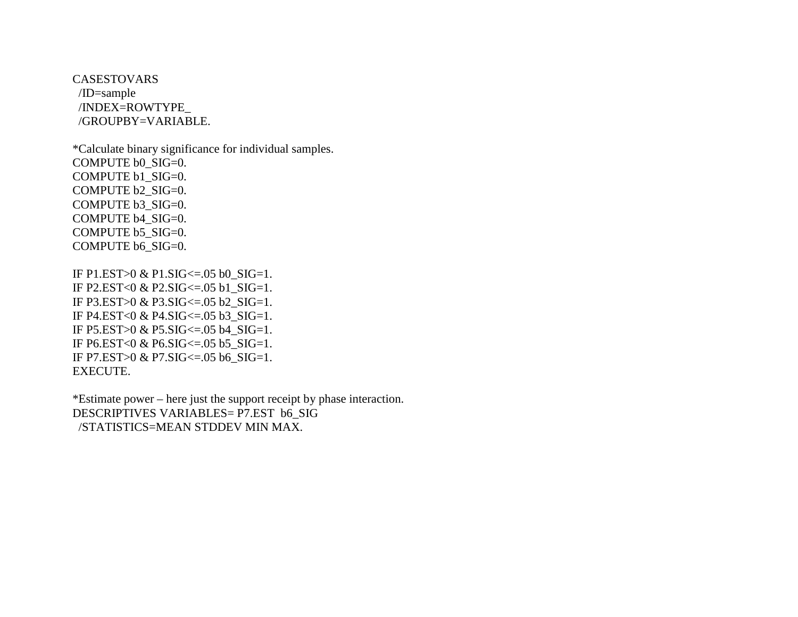CASESTOVARS /ID=sample /INDEX=ROWTYPE\_ /GROUPBY=VARIABLE.

\*Calculate binary significance for individual samples. COMPUTE b0\_SIG=0. COMPUTE b1\_SIG=0. COMPUTE b2\_SIG=0. COMPUTE b3\_SIG=0. COMPUTE b4\_SIG=0. COMPUTE b5\_SIG=0. COMPUTE b6\_SIG=0.

IF P1.EST>0 & P1.SIG<=.05 b0\_SIG=1. IF P2.EST<0 & P2.SIG<=.05 b1\_SIG=1. IF P3.EST>0 & P3.SIG<=.05 b2\_SIG=1. IF P4.EST<0 & P4.SIG<=.05 b3\_SIG=1. IF P5.EST>0 & P5.SIG<=.05 b4\_SIG=1. IF P6.EST<0 & P6.SIG $\leq$ =.05 b5 SIG=1. IF P7.EST>0 & P7.SIG<=.05 b6\_SIG=1. EXECUTE.

\*Estimate power – here just the support receipt by phase interaction. DESCRIPTIVES VARIABLES= P7.EST b6\_SIG /STATISTICS=MEAN STDDEV MIN MAX.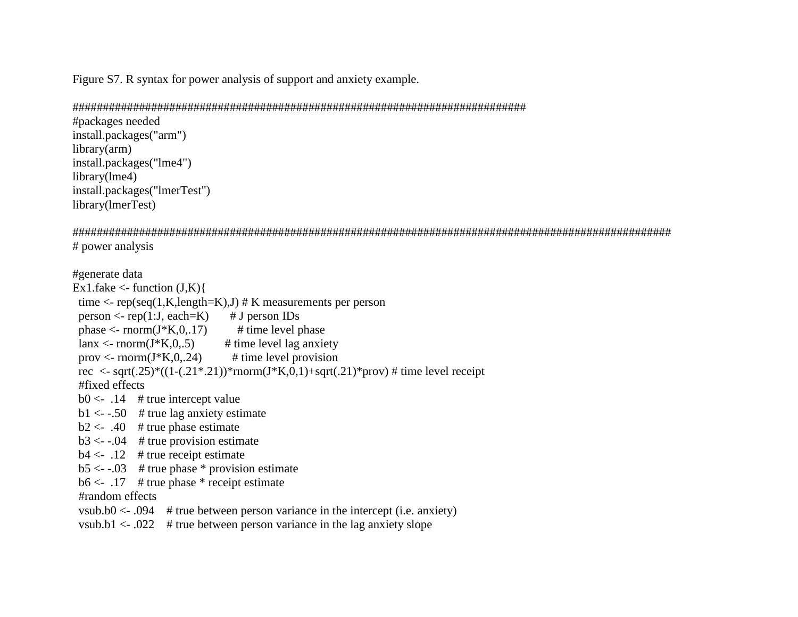Figure S7. R syntax for power analysis of support and anxiety example.

## ###########################################################################

#packages needed install.packages("arm") library(arm) install.packages("lme4") library(lme4) install.packages("lmerTest") library(lmerTest)

################################################################################################### # power analysis

#generate data Ex1.fake  $\le$ - function  $(J,K)$ time  $\langle$ - rep(seq(1,K,length=K),J) # K measurements per person person  $\leq$ - rep(1:J, each=K) # J person IDs phase  $\le$ - rnorm(J\*K,0,.17) # time level phase  $l$ anx <- rnorm(J\*K,0,.5) # time level lag anxiety prov  $\langle$  - rnorm(J\*K,0,.24) # time level provision rec <- sqrt(.25)\*((1-(.21\*.21))\*rnorm(J\*K,0,1)+sqrt(.21)\*prov) # time level receipt #fixed effects  $b0 < -0.14$  # true intercept value  $b1 < -0.50$  # true lag anxiety estimate  $b2 < -0.40$  # true phase estimate  $b3 < -0.04$  # true provision estimate  $b4 < -0.12$  # true receipt estimate  $b5 < -0.03$  # true phase \* provision estimate  $b6 < -0.17$  # true phase \* receipt estimate #random effects vsub.b0  $\lt$  0.094 # true between person variance in the intercept (i.e. anxiety) vsub.b1  $\leq$  022 # true between person variance in the lag anxiety slope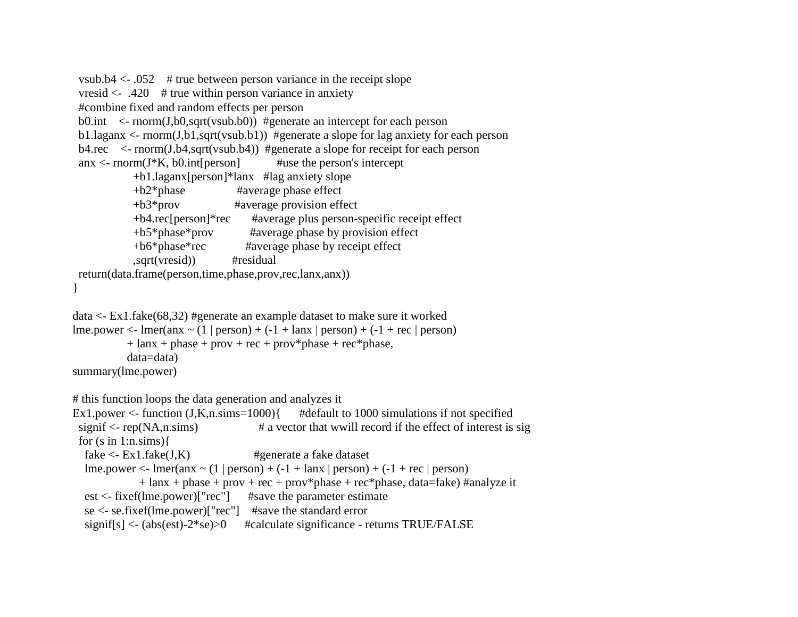```
vsub.b4 \lt 0.052 # true between person variance in the receipt slope
 vresid \leq .420 # true within person variance in anxiety
  #combine fixed and random effects per person 
 b0.int \le- rnorm(J, b0, \sqrt{9}t) #generate an intercept for each person
 b1.laganx \le- rnorm(J,b1,sqrt(vsub.b1)) #generate a slope for lag anxiety for each person
 b4.rec \leq- rnorm(J, b4, \sqrt{3}t) #generate a slope for receipt for each person
 anx < -rnorm(J*K, b0.int[person] #use the person's intercept
             +b1.laganx[person]*lanx #lag anxiety slope 
             +b2*phase #average phase effect
             +b3*prov #average provision effect 
             +b4.rec[person]*rec #average plus person-specific receipt effect
             +b5*phase*prov #average phase by provision effect 
             +b6*phase*rec #average phase by receipt effect
             ,sqrt(vresid)) #residual 
  return(data.frame(person,time,phase,prov,rec,lanx,anx)) 
} 
data <- Ex1.fake(68,32) #generate an example dataset to make sure it worked
lme.power \leq- lmer(anx \sim (1 | person) + (-1 + lanx | person) + (-1 + rec | person)
           + lanx + phase + prov + rec + prov*phase + rec*phase,
            data=data)
summary(lme.power)
# this function loops the data generation and analyzes it
Ex1.power \le function (J,K,n,sims=1000) \{ #default to 1000 simulations if not specified
 signif \langle- rep(NA,n.sims) \qquad \qquad \# a vector that wwill record if the effect of interest is sig
 for (s \in \{ \text{in} \} 1: \text{n} \cdot \text{sim} \}fake \langle- Ex1.fake(J,K) #generate a fake dataset
  lme.power \leq- lmer(anx \sim (1 | person) + (-1 + lanx | person) + (-1 + rec | person)
              + lanx + phase + prov + rec + prov*phase + rec*phase, data=fake) #analyze it
   est <- fixef(lme.power)["rec"] #save the parameter estimate
   se <- se.fixef(lme.power)["rec"] #save the standard error
  signiff[s] < (abs(est)-2*se) > 0 #calculate significance - returns TRUE/FALSE
```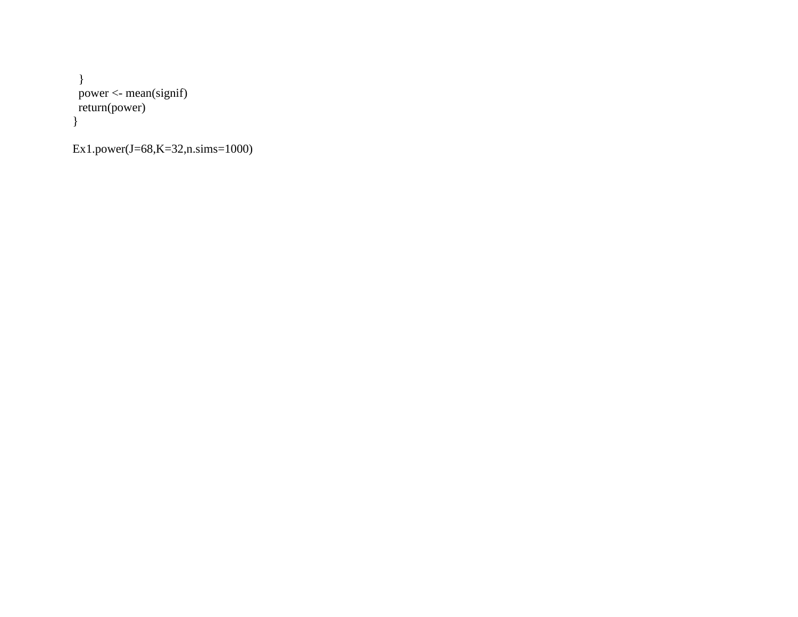} power <- mean(signif) return(power) }

Ex1.power(J=68,K=32,n.sims=1000)